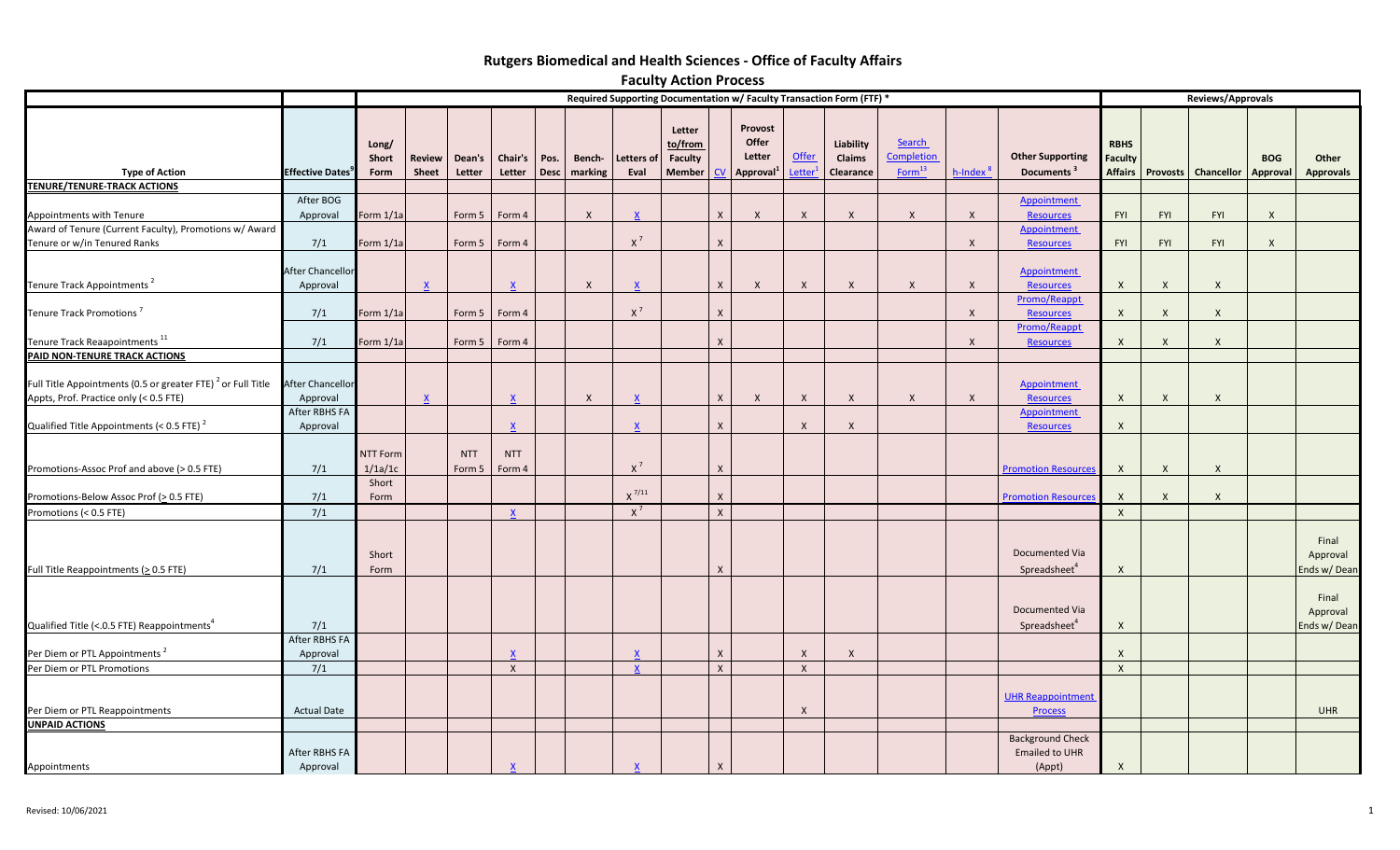# **Rutgers Biomedical and Health Sciences - Office of Faculty Affairs**

|                                                                                        |                                                                       |                                     |                        |                      |                           |             |                   |                           | <b>Faculty Action Process</b>                 |                  |                                        |                        |                                  |                                                   |                      |                                                            |                                          |              |                       |                        |                                  |  |
|----------------------------------------------------------------------------------------|-----------------------------------------------------------------------|-------------------------------------|------------------------|----------------------|---------------------------|-------------|-------------------|---------------------------|-----------------------------------------------|------------------|----------------------------------------|------------------------|----------------------------------|---------------------------------------------------|----------------------|------------------------------------------------------------|------------------------------------------|--------------|-----------------------|------------------------|----------------------------------|--|
|                                                                                        | Required Supporting Documentation w/ Faculty Transaction Form (FTF) * |                                     |                        |                      |                           |             |                   |                           |                                               |                  |                                        |                        |                                  |                                                   | Reviews/Approvals    |                                                            |                                          |              |                       |                        |                                  |  |
| <b>Type of Action</b><br><b>TENURE/TENURE-TRACK ACTIONS</b>                            | <b>Effective Dates</b>                                                | Long/<br>Short<br>Form              | <b>Review</b><br>Sheet | Dean's<br>Letter     | Chair's   Pos.<br>Letter  | <b>Desc</b> | Bench-<br>marking | Letters of<br>Eval        | Letter<br>to/from<br>Faculty<br><b>Member</b> | CV               | Provost<br>Offer<br>Letter<br>Approval | <b>Offer</b><br>Letter | Liability<br>Claims<br>Clearance | <b>Search</b><br>Completion<br>Form <sup>13</sup> | h-Index <sup>8</sup> | <b>Other Supporting</b><br>Documents <sup>3</sup>          | <b>RBHS</b><br><b>Faculty</b><br>Affairs |              | Provosts   Chancellor | <b>BOG</b><br>Approval | Other<br><b>Approvals</b>        |  |
|                                                                                        | After BOG                                                             |                                     |                        |                      |                           |             |                   |                           |                                               |                  |                                        |                        |                                  |                                                   |                      | Appointment                                                |                                          |              |                       |                        |                                  |  |
| Appointments with Tenure                                                               | Approval                                                              | Form 1/1a                           |                        | Form 5               | Form 4                    |             | $\mathsf{X}$      | $\mathsf{x}$              |                                               | $\mathsf{x}$     | $\mathsf{X}$                           | $\mathsf{X}$           | $\mathsf{X}$                     | $\mathsf{X}$                                      | $\mathsf{X}$         | <b>Resources</b>                                           | <b>FYI</b>                               | <b>FYI</b>   | FYI                   | $\mathsf{X}$           |                                  |  |
| Award of Tenure (Current Faculty), Promotions w/ Award<br>Tenure or w/in Tenured Ranks | 7/1                                                                   | Form 1/1a                           |                        | Form 5               | Form 4                    |             |                   | $X^7$                     |                                               | $\boldsymbol{X}$ |                                        |                        |                                  |                                                   | X                    | Appointment<br><b>Resources</b>                            | FYI                                      | FYI          | <b>FYI</b>            | $\mathsf{X}$           |                                  |  |
| Tenure Track Appointments <sup>2</sup>                                                 | After Chancellor<br>Approval                                          |                                     |                        |                      | $\boldsymbol{\mathsf{x}}$ |             | X                 | $\mathsf{x}$              |                                               | $\mathsf{X}$     | $\mathsf{X}$                           | X                      | $\mathsf{X}$                     | $\boldsymbol{X}$                                  | $\mathsf{X}$         | <b>Appointment</b><br><b>Resources</b>                     | X                                        | $\mathsf{X}$ | $\mathsf{x}$          |                        |                                  |  |
| Tenure Track Promotions <sup>7</sup>                                                   | 7/1                                                                   | Form 1/1a                           |                        | Form 5               | Form 4                    |             |                   | $X^7$                     |                                               | $\boldsymbol{X}$ |                                        |                        |                                  |                                                   | $\times$             | Promo/Reappt<br><b>Resources</b>                           | X                                        | $\mathsf{X}$ | $\mathsf{X}$          |                        |                                  |  |
|                                                                                        |                                                                       |                                     |                        |                      |                           |             |                   |                           |                                               |                  |                                        |                        |                                  |                                                   |                      | Promo/Reappt                                               |                                          |              |                       |                        |                                  |  |
| Tenure Track Reaapointments <sup>11</sup><br>PAID NON-TENURE TRACK ACTIONS             | 7/1                                                                   | Form 1/1a                           |                        | Form 5               | Form 4                    |             |                   |                           |                                               | $\mathsf{X}$     |                                        |                        |                                  |                                                   | $\mathsf{X}$         | Resources                                                  | X                                        | $\mathsf{X}$ | $\mathsf{X}$          |                        |                                  |  |
| Full Title Appointments (0.5 or greater FTE) <sup>2</sup> or Full Title                | After Chancellor                                                      |                                     |                        |                      |                           |             |                   |                           |                                               |                  |                                        |                        |                                  |                                                   |                      | <b>Appointment</b>                                         |                                          |              |                       |                        |                                  |  |
| Appts, Prof. Practice only (< 0.5 FTE)                                                 | Approval<br>After RBHS FA                                             |                                     | <u>x</u>               |                      | $\mathsf{x}$              |             | $\boldsymbol{X}$  | $\boldsymbol{\mathsf{x}}$ |                                               | $\mathsf{x}$     | $\mathsf{X}$                           | $\mathsf{X}$           | $\mathsf{X}$                     | $\mathsf{X}$                                      | X                    | <b>Resources</b><br>Appointment                            | $\mathsf{X}$                             | $\mathsf{X}$ | $\mathsf{x}$          |                        |                                  |  |
| Qualified Title Appointments (< 0.5 FTE) $^2$                                          | Approval                                                              |                                     |                        |                      |                           |             |                   | $\mathsf{x}$              |                                               | $\mathsf{X}$     |                                        | $\mathsf{x}$           | X                                |                                                   |                      | <b>Resources</b>                                           | X                                        |              |                       |                        |                                  |  |
| Promotions-Assoc Prof and above (> 0.5 FTE)                                            | 7/1                                                                   | <b>NTT Form</b><br>1/1a/1c<br>Short |                        | <b>NTT</b><br>Form 5 | <b>NTT</b><br>Form 4      |             |                   | $\rm X$ $^7$              |                                               | $\mathsf{x}$     |                                        |                        |                                  |                                                   |                      | <b>Promotion Resources</b>                                 | $\times$                                 | $\mathsf{X}$ | $\mathsf{x}$          |                        |                                  |  |
| Promotions-Below Assoc Prof (> 0.5 FTE)                                                | 7/1                                                                   | Form                                |                        |                      |                           |             |                   | $\chi$ $^{7/11}$          |                                               | X                |                                        |                        |                                  |                                                   |                      | <b>Promotion Resources</b>                                 | $\mathsf{X}$                             | $\mathsf{X}$ | X                     |                        |                                  |  |
| Promotions (< 0.5 FTE)                                                                 | 7/1                                                                   |                                     |                        |                      | $\mathbf{x}$              |             |                   | $\chi^7$                  |                                               | $\mathsf{x}$     |                                        |                        |                                  |                                                   |                      |                                                            | $\mathsf{X}$                             |              |                       |                        |                                  |  |
| Full Title Reappointments ( $\geq$ 0.5 FTE)                                            | 7/1                                                                   | Short<br>Form                       |                        |                      |                           |             |                   |                           |                                               | $\mathsf{x}$     |                                        |                        |                                  |                                                   |                      | Documented Via<br>Spreadsheet <sup>4</sup>                 | X                                        |              |                       |                        | Final<br>Approval<br>Ends w/Dean |  |
| Qualified Title (<.0.5 FTE) Reappointments <sup>4</sup>                                | 7/1                                                                   |                                     |                        |                      |                           |             |                   |                           |                                               |                  |                                        |                        |                                  |                                                   |                      | Documented Via<br>Spreadsheet <sup>4</sup>                 | $\times$                                 |              |                       |                        | Final<br>Approval<br>Ends w/Dean |  |
| Per Diem or PTL Appointments <sup>2</sup>                                              | After RBHS FA                                                         |                                     |                        |                      |                           |             |                   |                           |                                               | $\mathsf{X}$     |                                        | $\times$               | X                                |                                                   |                      |                                                            | $\times$                                 |              |                       |                        |                                  |  |
| Per Diem or PTL Promotions                                                             | Approval<br>7/1                                                       |                                     |                        |                      | $\mathsf{X}$              |             |                   | $\mathbf{x}$              |                                               | $\mathsf{X}$     |                                        | $\mathsf{X}$           |                                  |                                                   |                      |                                                            | $\mathsf{X}$                             |              |                       |                        |                                  |  |
|                                                                                        |                                                                       |                                     |                        |                      |                           |             |                   |                           |                                               |                  |                                        |                        |                                  |                                                   |                      | <b>UHR Reappointment</b>                                   |                                          |              |                       |                        |                                  |  |
| Per Diem or PTL Reappointments                                                         | <b>Actual Date</b>                                                    |                                     |                        |                      |                           |             |                   |                           |                                               |                  |                                        | $\times$               |                                  |                                                   |                      | <b>Process</b>                                             |                                          |              |                       |                        | <b>UHR</b>                       |  |
| <b>UNPAID ACTIONS</b><br>Appointments                                                  | After RBHS FA<br>Approval                                             |                                     |                        |                      | $\overline{\mathbf{X}}$   |             |                   | $\underline{X}$           |                                               | $\mathsf{X}$     |                                        |                        |                                  |                                                   |                      | <b>Background Check</b><br><b>Emailed to UHR</b><br>(Appt) | $\mathsf{X}$                             |              |                       |                        |                                  |  |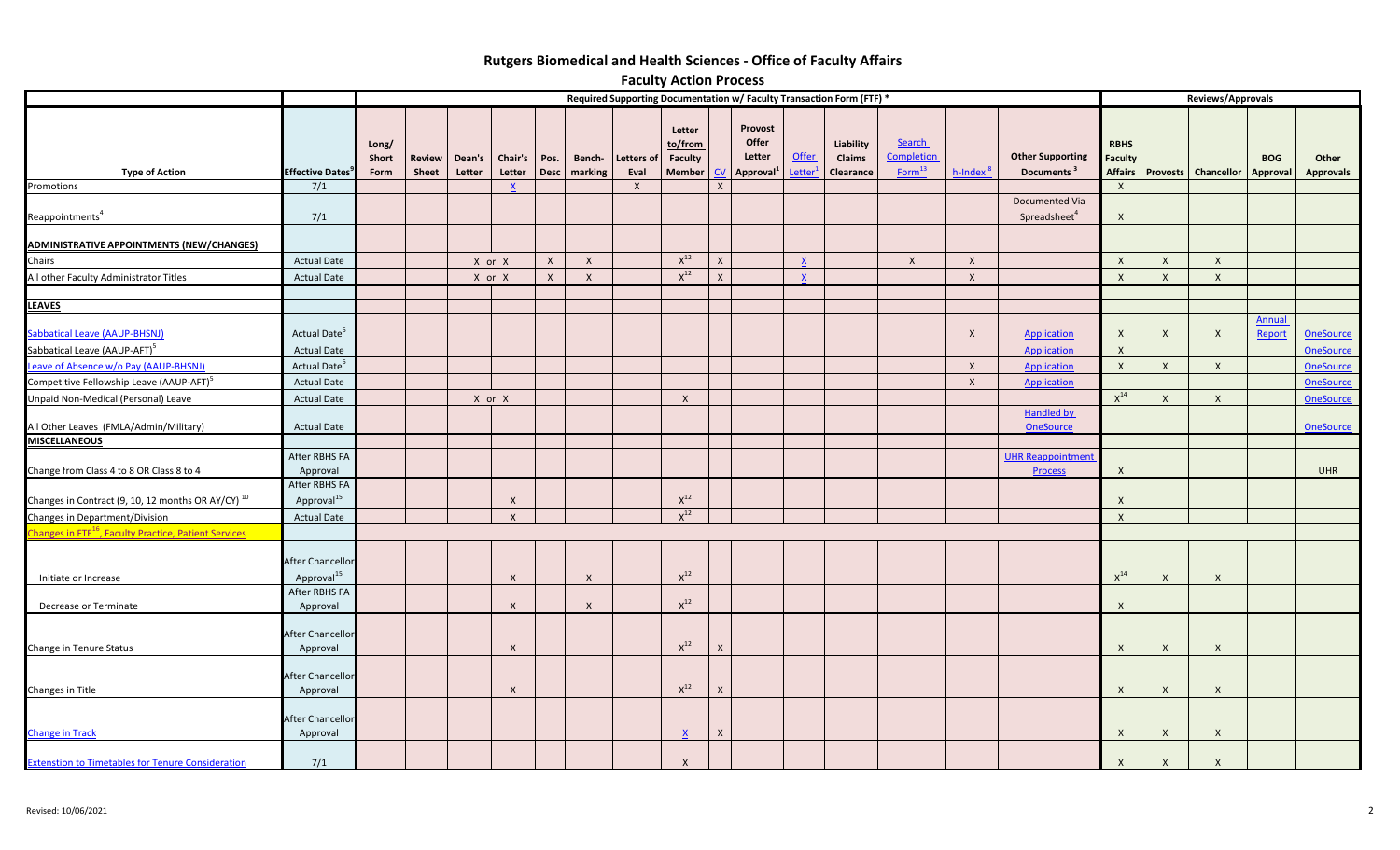# **Rutgers Biomedical and Health Sciences - Office of Faculty Affairs**

|                                                                                               |                                                |                                                                       |                        |                  |                   |                     |                   |                                           | <b>Faculty Action Process</b>                        |                |                                        |                              |                                         |                                                   |                              |                                                   |                                                            |                  |                             |                         |                                      |  |  |
|-----------------------------------------------------------------------------------------------|------------------------------------------------|-----------------------------------------------------------------------|------------------------|------------------|-------------------|---------------------|-------------------|-------------------------------------------|------------------------------------------------------|----------------|----------------------------------------|------------------------------|-----------------------------------------|---------------------------------------------------|------------------------------|---------------------------------------------------|------------------------------------------------------------|------------------|-----------------------------|-------------------------|--------------------------------------|--|--|
|                                                                                               |                                                | Required Supporting Documentation w/ Faculty Transaction Form (FTF) * |                        |                  |                   |                     |                   |                                           |                                                      |                |                                        |                              |                                         |                                                   |                              | Reviews/Approvals                                 |                                                            |                  |                             |                         |                                      |  |  |
| <b>Type of Action</b><br>Promotions                                                           | <b>Effective Dates</b><br>7/1                  | Long/<br>Short<br>Form                                                | Review<br><b>Sheet</b> | Dean's<br>Letter | Chair's<br>Letter | Pos.<br><b>Desc</b> | Bench-<br>marking | <b>Letters of</b><br>Eval<br>$\mathsf{X}$ | Letter<br>to/from<br><b>Faculty</b><br><b>Member</b> | <b>CV</b><br>X | Provost<br>Offer<br>Letter<br>Approval | Offer<br>Letter <sup>1</sup> | Liability<br>Claims<br><b>Clearance</b> | <b>Search</b><br>Completion<br>Form <sup>13</sup> | $h$ -Index $^3$              | <b>Other Supporting</b><br>Documents <sup>3</sup> | <b>RBHS</b><br><b>Faculty</b><br>$\boldsymbol{\mathsf{x}}$ |                  | Affairs Provosts Chancellor | <b>BOG</b><br>Approval  | Other<br><b>Approvals</b>            |  |  |
| Reappointments <sup>4</sup>                                                                   | 7/1                                            |                                                                       |                        |                  |                   |                     |                   |                                           |                                                      |                |                                        |                              |                                         |                                                   |                              | Documented Via<br>Spreadsheet <sup>4</sup>        | $\boldsymbol{X}$                                           |                  |                             |                         |                                      |  |  |
| ADMINISTRATIVE APPOINTMENTS (NEW/CHANGES)                                                     |                                                |                                                                       |                        |                  |                   |                     |                   |                                           |                                                      |                |                                        |                              |                                         |                                                   |                              |                                                   |                                                            |                  |                             |                         |                                      |  |  |
| Chairs                                                                                        | <b>Actual Date</b>                             |                                                                       |                        | X or X           |                   | $\mathsf{X}$        | $\mathsf{X}$      |                                           | $X^{12}$                                             | X              |                                        |                              |                                         | $\mathsf{x}$                                      | $\mathsf{X}$                 |                                                   | $\boldsymbol{\mathsf{x}}$                                  | $\mathsf{X}$     | $\boldsymbol{X}$            |                         |                                      |  |  |
| All other Faculty Administrator Titles                                                        | <b>Actual Date</b>                             |                                                                       |                        | X or X           |                   | $\mathsf{X}$        | $\mathsf{X}$      |                                           | $X^{12}$                                             | $\mathsf{x}$   |                                        |                              |                                         |                                                   | $\mathsf{X}$                 |                                                   | $\boldsymbol{X}$                                           | $\mathsf{X}$     | $\mathsf{X}$                |                         |                                      |  |  |
| <b>LEAVES</b>                                                                                 |                                                |                                                                       |                        |                  |                   |                     |                   |                                           |                                                      |                |                                        |                              |                                         |                                                   |                              |                                                   |                                                            |                  |                             |                         |                                      |  |  |
| Sabbatical Leave (AAUP-BHSNJ)                                                                 | Actual Date <sup>o</sup>                       |                                                                       |                        |                  |                   |                     |                   |                                           |                                                      |                |                                        |                              |                                         |                                                   | $\mathsf{X}$                 | <b>Application</b>                                | $\times$                                                   | $\mathsf{X}$     | $\mathsf{X}$                | <b>Annual</b><br>Report | <b>OneSource</b>                     |  |  |
| Sabbatical Leave (AAUP-AFT) <sup>5</sup>                                                      | <b>Actual Date</b>                             |                                                                       |                        |                  |                   |                     |                   |                                           |                                                      |                |                                        |                              |                                         |                                                   |                              | <b>Application</b>                                | $\mathsf{X}$                                               |                  |                             |                         | <b>OneSource</b>                     |  |  |
| Leave of Absence w/o Pay (AAUP-BHSNJ)<br>Competitive Fellowship Leave (AAUP-AFT) <sup>5</sup> | Actual Date <sup>6</sup><br><b>Actual Date</b> |                                                                       |                        |                  |                   |                     |                   |                                           |                                                      |                |                                        |                              |                                         |                                                   | $\mathsf{X}$<br>$\mathsf{x}$ | Application<br><b>Application</b>                 | $\mathsf{X}$                                               | $\mathsf{X}$     | $\mathsf{x}$                |                         | <b>OneSource</b><br><b>OneSource</b> |  |  |
| Unpaid Non-Medical (Personal) Leave                                                           | <b>Actual Date</b>                             |                                                                       |                        |                  | X or X            |                     |                   |                                           | $\mathsf{X}$                                         |                |                                        |                              |                                         |                                                   |                              |                                                   | $X^{14}$                                                   | $\mathsf{X}$     | $\mathsf{X}$                |                         | <b>OneSource</b>                     |  |  |
| All Other Leaves (FMLA/Admin/Military)                                                        | <b>Actual Date</b>                             |                                                                       |                        |                  |                   |                     |                   |                                           |                                                      |                |                                        |                              |                                         |                                                   |                              | <b>Handled by</b><br><b>OneSource</b>             |                                                            |                  |                             |                         | <b>OneSource</b>                     |  |  |
| <b>MISCELLANEOUS</b>                                                                          |                                                |                                                                       |                        |                  |                   |                     |                   |                                           |                                                      |                |                                        |                              |                                         |                                                   |                              |                                                   |                                                            |                  |                             |                         |                                      |  |  |
| Change from Class 4 to 8 OR Class 8 to 4                                                      | After RBHS FA<br>Approval                      |                                                                       |                        |                  |                   |                     |                   |                                           |                                                      |                |                                        |                              |                                         |                                                   |                              | <b>UHR Reappointment</b><br><b>Process</b>        | $\mathsf{X}$                                               |                  |                             |                         | <b>UHR</b>                           |  |  |
| Changes in Contract (9, 10, 12 months OR AY/CY) <sup>10</sup>                                 | After RBHS FA<br>Approval <sup>15</sup>        |                                                                       |                        |                  | $\mathsf{x}$      |                     |                   |                                           | $\chi^{12}$                                          |                |                                        |                              |                                         |                                                   |                              |                                                   | $\mathsf{X}$                                               |                  |                             |                         |                                      |  |  |
| Changes in Department/Division                                                                | <b>Actual Date</b>                             |                                                                       |                        |                  | $\mathsf{x}$      |                     |                   |                                           | $X^{12}$                                             |                |                                        |                              |                                         |                                                   |                              |                                                   | $\mathsf{X}$                                               |                  |                             |                         |                                      |  |  |
| Changes in FTE <sup>16</sup> , Faculty Practice, Patient Services<br>Initiate or Increase     | After Chancellor<br>Approval <sup>15</sup>     |                                                                       |                        |                  | $\mathsf{X}$      |                     | $\mathsf{X}$      |                                           | $\mathsf{X}^{12}$                                    |                |                                        |                              |                                         |                                                   |                              |                                                   | $X^{14}$                                                   | $\mathsf{X}$     | $\mathsf{X}$                |                         |                                      |  |  |
| Decrease or Terminate                                                                         | After RBHS FA<br>Approval                      |                                                                       |                        |                  | $\mathsf{X}$      |                     | $\mathsf{X}$      |                                           | $\mathsf{X}^{12}$                                    |                |                                        |                              |                                         |                                                   |                              |                                                   | $\mathsf{X}$                                               |                  |                             |                         |                                      |  |  |
| Change in Tenure Status                                                                       | After Chancellor<br>Approval                   |                                                                       |                        |                  | $\mathsf{X}$      |                     |                   |                                           | $\chi^{12}$                                          | $\mathsf{X}$   |                                        |                              |                                         |                                                   |                              |                                                   | $\boldsymbol{X}$                                           | $\boldsymbol{X}$ | $\mathsf{X}$                |                         |                                      |  |  |
| Changes in Title                                                                              | After Chancellor<br>Approval                   |                                                                       |                        |                  | $\mathsf{X}$      |                     |                   |                                           | $\mathsf{X}^{12}$                                    | $\times$       |                                        |                              |                                         |                                                   |                              |                                                   | $\boldsymbol{X}$                                           | $\mathsf{X}$     | $\mathsf{X}$                |                         |                                      |  |  |
| <b>Change in Track</b>                                                                        | After Chancellor<br>Approval                   |                                                                       |                        |                  |                   |                     |                   |                                           |                                                      | X              |                                        |                              |                                         |                                                   |                              |                                                   | X                                                          | $\mathsf{X}$     | $\mathsf{X}$                |                         |                                      |  |  |
| <b>Extenstion to Timetables for Tenure Consideration</b>                                      | 7/1                                            |                                                                       |                        |                  |                   |                     |                   |                                           | $\mathsf{X}$                                         |                |                                        |                              |                                         |                                                   |                              |                                                   | $\boldsymbol{X}$                                           | $\mathsf{X}$     | $\boldsymbol{X}$            |                         |                                      |  |  |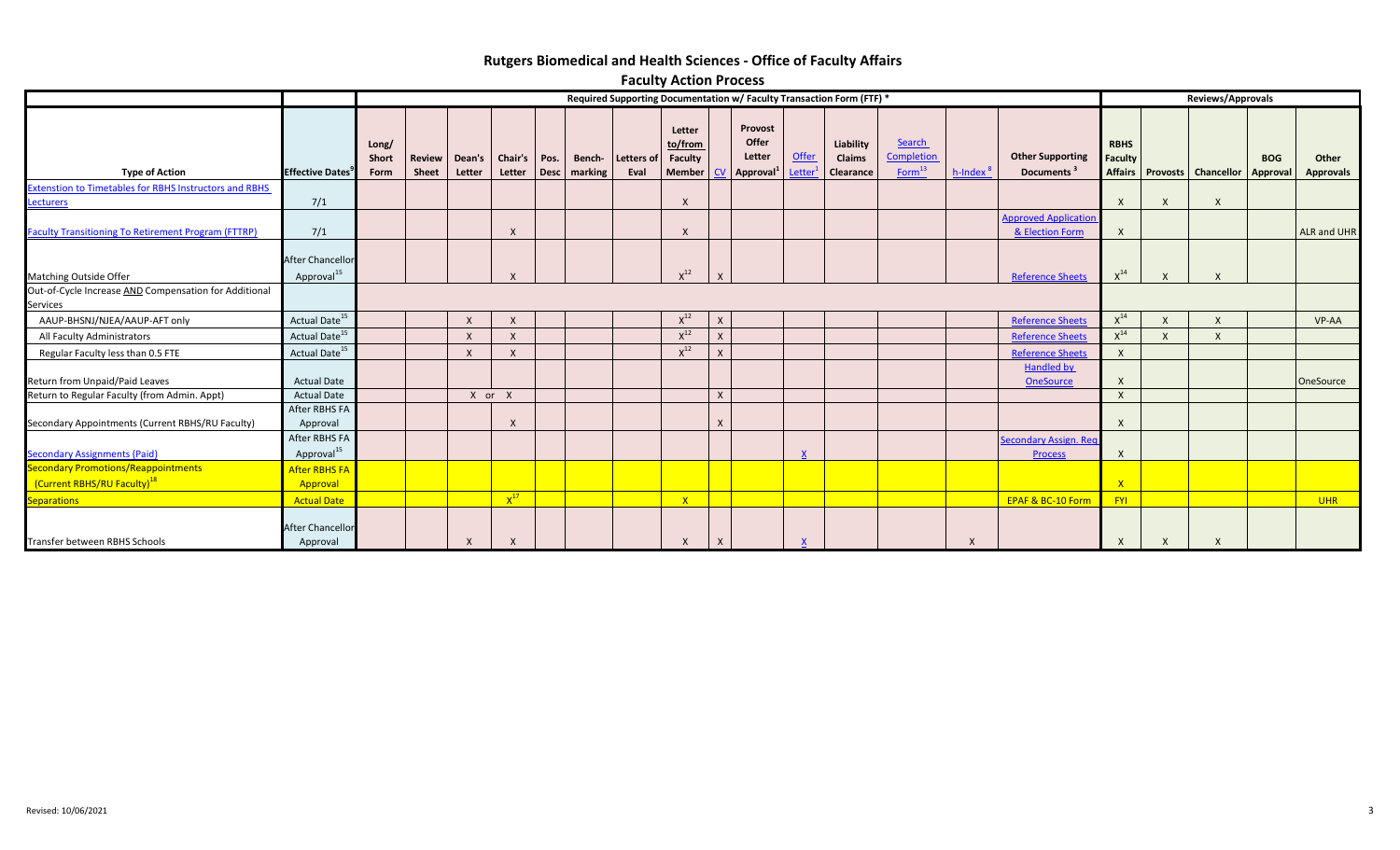# **Rutgers Biomedical and Health Sciences - Office of Faculty Affairs**

|                                                                                       | <b>I GLAILY ACHOIL LOCCSS</b>                     |                                                                       |                        |          |                            |      |                          |                    |                                                    |                  |                                                   |                        |                                  |                                                   |                 |                                                   |                               |              |                                      |            |                    |  |  |
|---------------------------------------------------------------------------------------|---------------------------------------------------|-----------------------------------------------------------------------|------------------------|----------|----------------------------|------|--------------------------|--------------------|----------------------------------------------------|------------------|---------------------------------------------------|------------------------|----------------------------------|---------------------------------------------------|-----------------|---------------------------------------------------|-------------------------------|--------------|--------------------------------------|------------|--------------------|--|--|
|                                                                                       |                                                   | Required Supporting Documentation w/ Faculty Transaction Form (FTF) * |                        |          |                            |      |                          |                    |                                                    |                  |                                                   |                        |                                  |                                                   |                 | Reviews/Approvals                                 |                               |              |                                      |            |                    |  |  |
| <b>Type of Action</b>                                                                 | <b>Effective Dates</b>                            | Long/<br>Short<br>Form                                                | Review<br><b>Sheet</b> | Letter   | Dean's   Chair's<br>Letter | Pos. | Bench-<br>Desc   marking | Letters of<br>Eval | Letter<br>to/from<br><b>Faculty</b><br>Member   CV |                  | Provost<br>Offer<br>Letter<br>$\sqrt{2}$ Approval | <b>Offer</b><br>Letter | Liability<br>Claims<br>Clearance | <b>Search</b><br>Completion<br>Form <sup>13</sup> | $h$ -Index $^8$ | <b>Other Supporting</b><br>Documents <sup>3</sup> | <b>RBHS</b><br><b>Faculty</b> |              | Affairs Provosts Chancellor Approval | <b>BOG</b> | Other<br>Approvals |  |  |
| <b>Extenstion to Timetables for RBHS Instructors and RBHS</b><br>Lecturers            | 7/1                                               |                                                                       |                        |          |                            |      |                          |                    | $\mathsf{X}$                                       |                  |                                                   |                        |                                  |                                                   |                 |                                                   | X                             | X            | X                                    |            |                    |  |  |
| <b>Faculty Transitioning To Retirement Program (FTTRP)</b>                            | 7/1                                               |                                                                       |                        |          | $\times$                   |      |                          |                    |                                                    |                  |                                                   |                        |                                  |                                                   |                 | <b>Approved Application</b><br>& Election Form    |                               |              |                                      |            | <b>ALR and UHR</b> |  |  |
| Matching Outside Offer                                                                | <b>After Chancellor</b><br>Approval <sup>15</sup> |                                                                       |                        |          | $\mathsf{x}$               |      |                          |                    | $X^{12}$                                           |                  |                                                   |                        |                                  |                                                   |                 | <b>Reference Sheets</b>                           | $X^{14}$                      |              |                                      |            |                    |  |  |
| Out-of-Cycle Increase AND Compensation for Additional<br>Services                     |                                                   |                                                                       |                        |          |                            |      |                          |                    |                                                    |                  |                                                   |                        |                                  |                                                   |                 |                                                   |                               |              |                                      |            |                    |  |  |
| AAUP-BHSNJ/NJEA/AAUP-AFT only                                                         | Actual Date <sup>15</sup>                         |                                                                       |                        | $\times$ | $\mathsf{X}$               |      |                          |                    | $X^{12}$                                           | $\mathsf{X}$     |                                                   |                        |                                  |                                                   |                 | <b>Reference Sheets</b>                           | $\mathsf{X}^{14}$             | X            | X                                    |            | VP-AA              |  |  |
| All Faculty Administrators                                                            | Actual Date <sup>15</sup>                         |                                                                       |                        | $\times$ | $\mathsf{x}$               |      |                          |                    | $X^{12}$                                           | $\mathsf{x}$     |                                                   |                        |                                  |                                                   |                 | <b>Reference Sheets</b>                           | $X^{14}$                      | $\mathsf{x}$ | X                                    |            |                    |  |  |
| Regular Faculty less than 0.5 FTE                                                     | Actual Date <sup>15</sup>                         |                                                                       |                        |          | $\times$                   |      |                          |                    | $X^{12}$                                           |                  |                                                   |                        |                                  |                                                   |                 | <b>Reference Sheets</b>                           | $\sf X$                       |              |                                      |            |                    |  |  |
| Return from Unpaid/Paid Leaves                                                        | <b>Actual Date</b>                                |                                                                       |                        |          |                            |      |                          |                    |                                                    |                  |                                                   |                        |                                  |                                                   |                 | <b>Handled by</b><br><b>OneSource</b>             | X                             |              |                                      |            | OneSource          |  |  |
| Return to Regular Faculty (from Admin. Appt)                                          | <b>Actual Date</b>                                |                                                                       |                        |          | X or X                     |      |                          |                    |                                                    | $\mathsf{X}$     |                                                   |                        |                                  |                                                   |                 |                                                   | $\sf X$                       |              |                                      |            |                    |  |  |
| Secondary Appointments (Current RBHS/RU Faculty)                                      | After RBHS FA<br>Approval                         |                                                                       |                        |          | $\mathsf{x}$               |      |                          |                    |                                                    |                  |                                                   |                        |                                  |                                                   |                 |                                                   | $\times$                      |              |                                      |            |                    |  |  |
| <b>Secondary Assignments (Paid)</b>                                                   | After RBHS FA<br>Approval <sup>15</sup>           |                                                                       |                        |          |                            |      |                          |                    |                                                    |                  |                                                   |                        |                                  |                                                   |                 | Secondary Assign. Red<br><b>Process</b>           | X                             |              |                                      |            |                    |  |  |
| <b>Secondary Promotions/Reappointments</b><br>(Current RBHS/RU Faculty) <sup>18</sup> | <b>After RBHS FA</b><br>Approval                  |                                                                       |                        |          |                            |      |                          |                    |                                                    |                  |                                                   |                        |                                  |                                                   |                 |                                                   | $\mathsf{X}$                  |              |                                      |            |                    |  |  |
| Separations                                                                           | <b>Actual Date</b>                                |                                                                       |                        |          | $X^{17}$                   |      |                          |                    | X                                                  |                  |                                                   |                        |                                  |                                                   |                 | <b>EPAF &amp; BC-10 Form</b>                      | <b>FYI</b>                    |              |                                      |            | <b>UHR</b>         |  |  |
| Transfer between RBHS Schools                                                         | After Chancellor<br>Approval                      |                                                                       |                        | X        | $\mathsf{X}$               |      |                          |                    | X                                                  | $\boldsymbol{X}$ |                                                   |                        |                                  |                                                   | X               |                                                   | X                             | X            | X                                    |            |                    |  |  |

## **Faculty Action Process**